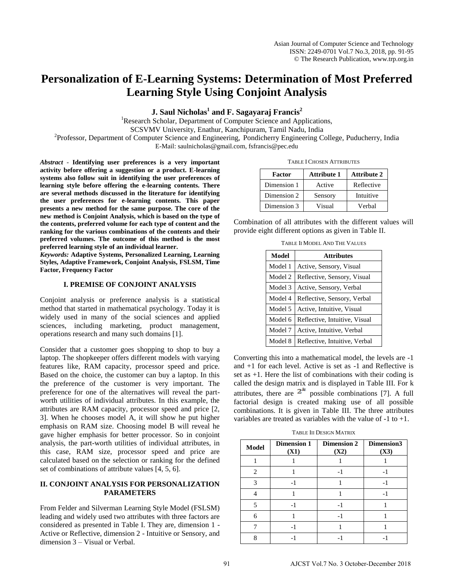# **Personalization of E-Learning Systems: Determination of Most Preferred Learning Style Using Conjoint Analysis**

**J. Saul Nicholas<sup>1</sup> and F. Sagayaraj Francis<sup>2</sup>**

<sup>1</sup>Research Scholar, Department of Computer Science and Applications, SCSVMV University, Enathur, Kanchipuram, Tamil Nadu, India

<sup>2</sup>Professor, Department of Computer Science and Engineering, Pondicherry Engineering College, Puducherry, India E-Mail: saulnicholas@gmail.com, fsfrancis@pec.edu

*Abstract* - **Identifying user preferences is a very important activity before offering a suggestion or a product. E-learning systems also follow suit in identifying the user preferences of learning style before offering the e-learning contents. There are several methods discussed in the literature for identifying the user preferences for e-learning contents. This paper presents a new method for the same purpose. The core of the new method is Conjoint Analysis, which is based on the type of the contents, preferred volume for each type of content and the ranking for the various combinations of the contents and their preferred volumes. The outcome of this method is the most preferred learning style of an individual learner.**

*Keywords:* **Adaptive Systems, Personalized Learning, Learning Styles, Adaptive Framework, Conjoint Analysis, FSLSM, Time Factor, Frequency Factor**

# **I. PREMISE OF CONJOINT ANALYSIS**

Conjoint analysis or preference analysis is a statistical method that started in mathematical psychology. Today it is widely used in many of the social sciences and applied sciences, including marketing, product management, operations research and many such domains [1].

Consider that a customer goes shopping to shop to buy a laptop. The shopkeeper offers different models with varying features like, RAM capacity, processor speed and price. Based on the choice, the customer can buy a laptop. In this the preference of the customer is very important. The preference for one of the alternatives will reveal the partworth utilities of individual attributes. In this example, the attributes are RAM capacity, processor speed and price [2, 3]. When he chooses model A, it will show he put higher emphasis on RAM size. Choosing model B will reveal he gave higher emphasis for better processor. So in conjoint analysis, the part-worth utilities of individual attributes, in this case, RAM size, processor speed and price are calculated based on the selection or ranking for the defined set of combinations of attribute values [4, 5, 6].

# **II. CONJOINT ANALYSIS FOR PERSONALIZATION PARAMETERS**

From Felder and Silverman Learning Style Model (FSLSM) leading and widely used two attributes with three factors are considered as presented in Table I. They are, dimension 1 - Active or Reflective, dimension 2 - Intuitive or Sensory, and dimension 3 – Visual or Verbal.

| <b>TABLE I CHOSEN ATTRIBUTES</b> |
|----------------------------------|
|----------------------------------|

| Factor      | <b>Attribute 1</b> | <b>Attribute 2</b> |
|-------------|--------------------|--------------------|
| Dimension 1 | Active             | Reflective         |
| Dimension 2 | Sensory            | Intuitive          |
| Dimension 3 | Visual             | Verbal             |

Combination of all attributes with the different values will provide eight different options as given in Table II.

TABLE II MODEL AND THE VALUES

| Model   | <b>Attributes</b>             |  |
|---------|-------------------------------|--|
| Model 1 | Active, Sensory, Visual       |  |
| Model 2 | Reflective, Sensory, Visual   |  |
| Model 3 | Active, Sensory, Verbal       |  |
| Model 4 | Reflective, Sensory, Verbal   |  |
| Model 5 | Active, Intuitive, Visual     |  |
| Model 6 | Reflective, Intuitive, Visual |  |
| Model 7 | Active, Intuitive, Verbal     |  |
| Model 8 | Reflective, Intuitive, Verbal |  |

Converting this into a mathematical model, the levels are -1 and +1 for each level. Active is set as -1 and Reflective is set as +1. Here the list of combinations with their coding is called the design matrix and is displayed in Table III. For k attributes, there are  $2^k$  possible combinations [7]. A full factorial design is created making use of all possible combinations. It is given in Table III. The three attributes variables are treated as variables with the value of  $-1$  to  $+1$ .

TABLE III DESIGN MATRIX

| <b>Model</b> | <b>Dimension 1</b><br>(X1) | <b>Dimension 2</b><br>(X2) | Dimension3<br>(X3) |
|--------------|----------------------------|----------------------------|--------------------|
|              |                            |                            |                    |
| 2            |                            |                            |                    |
| 3            |                            |                            |                    |
|              |                            |                            |                    |
|              |                            |                            |                    |
| 6            |                            |                            |                    |
|              |                            |                            |                    |
|              |                            |                            |                    |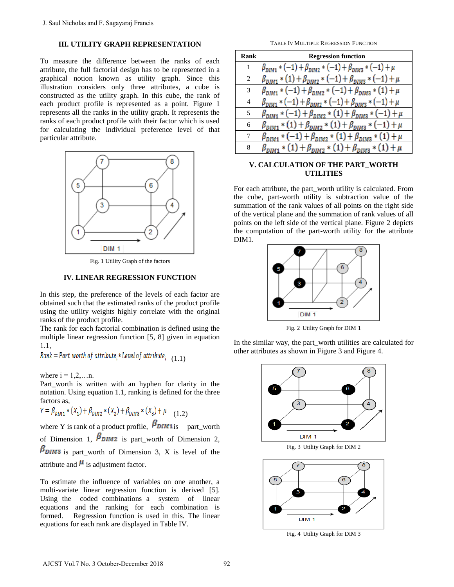## **III. UTILITY GRAPH REPRESENTATION**

To measure the difference between the ranks of each attribute, the full factorial design has to be represented in a graphical notion known as utility graph. Since this illustration considers only three attributes, a cube is constructed as the utility graph. In this cube, the rank of each product profile is represented as a point. Figure 1 represents all the ranks in the utility graph. It represents the ranks of each product profile with their factor which is used for calculating the individual preference level of that particular attribute.



Fig. 1 Utility Graph of the factors

### **IV. LINEAR REGRESSION FUNCTION**

In this step, the preference of the levels of each factor are obtained such that the estimated ranks of the product profile using the utility weights highly correlate with the original ranks of the product profile.

The rank for each factorial combination is defined using the multiple linear regression function [5, 8] given in equation 1.1,

 $Rank = Part_worth_0f_1$  attribute<sub>i</sub> \* Level of attribute<sub>i</sub> (1.1)

where  $i = 1, 2, \ldots n$ .

Part worth is written with an hyphen for clarity in the notation. Using equation 1.1, ranking is defined for the three factors as,

$$
Y = \beta_{DIM1} * (X_1) + \beta_{DIM2} * (X_2) + \beta_{DIM3} * (X_3) + \mu \quad (1.2)
$$

where Y is rank of a product profile,  $\beta_{DIM1is}$  part worth of Dimension 1,  $\beta_{\text{DIM2}}$  is part\_worth of Dimension 2,  $\beta_{\text{DIM3}}$  is part worth of Dimension 3, X is level of the attribute and  $\mu$  is adjustment factor.

To estimate the influence of variables on one another, a multi-variate linear regression function is derived [5]. Using the coded combinations a system of linear equations and the ranking for each combination is formed. Regression function is used in this. The linear equations for each rank are displayed in Table IV.

TABLE IV MULTIPLE REGRESSION FUNCTION

| Rank           | <b>Regression function</b>                                                                   |
|----------------|----------------------------------------------------------------------------------------------|
| 1              | $\beta_{DIM1} * (-1) + \beta_{DIM2} * (-1) + \beta_{DIM3} * (-1) + \mu$                      |
| $\mathfrak{D}$ | $\beta_{DIM1} * (1) + \beta_{DIM2} * (-1) + \beta_{DIM3} * (-1) + \mu$                       |
| 3              | $\beta_{\text{DIM1}} * (-1) + \beta_{\text{DIM2}} * (-1) + \beta_{\text{DIM3}} * (1) + \mu$  |
| 4              | $\beta_{\text{DIM1}} * (-1) + \beta_{\text{DIM2}} * (-1) + \beta_{\text{DIM3}} * (-1) + \mu$ |
| 5              | $\beta_{DIM1} * (-1) + \beta_{DIM2} * (1) + \beta_{DIM3} * (-1) + \mu$                       |
| 6              | $\beta_{\rm DIM1} * (1) + \beta_{\rm DIM2} * (1) + \beta_{\rm DIM3} * (-1) + \mu$            |
| 7              | $\beta_{DIM1} * (-1) + \beta_{DIM2} * (1) + \beta_{DIM3} * (1) + \mu$                        |
| 8              | $\beta_{DIM1} * (1) + \beta_{DIM2} * (1) + \beta_{DIM3} * (1) + \mu$                         |

# **V. CALCULATION OF THE PART\_WORTH UTILITIES**

For each attribute, the part\_worth utility is calculated. From the cube, part-worth utility is subtraction value of the summation of the rank values of all points on the right side of the vertical plane and the summation of rank values of all points on the left side of the vertical plane. Figure 2 depicts the computation of the part-worth utility for the attribute DIM1.



Fig. 2 Utility Graph for DIM 1

In the similar way, the part\_worth utilities are calculated for other attributes as shown in Figure 3 and Figure 4.



Fig. 4 Utility Graph for DIM 3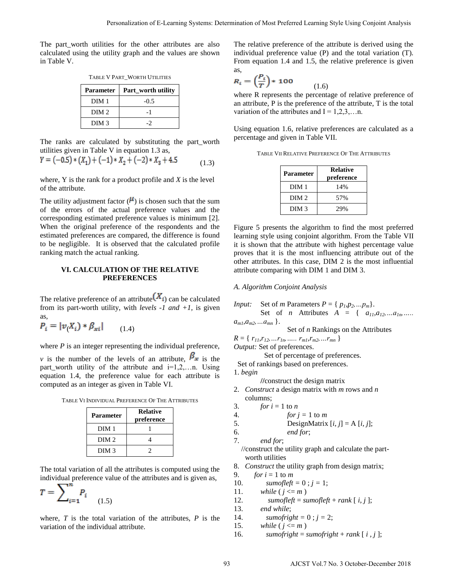The part\_worth utilities for the other attributes are also calculated using the utility graph and the values are shown in Table V.

TABLE V PART\_WORTH UTILITIES

| <b>Parameter</b> | <b>Part_worth utility</b> |
|------------------|---------------------------|
| DIM 1            | $-0.5$                    |
| DIM <sub>2</sub> | - 1                       |
| DIM <sub>3</sub> |                           |

The ranks are calculated by substituting the part\_worth utilities given in Table V in equation 1.3 as,

$$
Y = (-0.5) * (X_1) + (-1) * X_2 + (-2) * X_3 + 4.5
$$
 (1.3)

where, Y is the rank for a product profile and *X* is the level of the attribute.

The utility adjustment factor  $(\mu)$  is chosen such that the sum of the errors of the actual preference values and the corresponding estimated preference values is minimum [2]. When the original preference of the respondents and the estimated preferences are compared, the difference is found to be negligible. It is observed that the calculated profile ranking match the actual ranking.

# **VI. CALCULATION OF THE RELATIVE PREFERENCES**

The relative preference of an attribute  $(X_i)$  can be calculated from its part-worth utility, with *levels -1 and +1,* is given as,

$$
P_i = |\nu_i X_i) * \beta_{xi}| \qquad (1.4)
$$

where *P* is an integer representing the individual preference,

*v* is the number of the levels of an attribute,  $\beta_x$  is the part\_worth utility of the attribute and  $i=1,2,...n$ . Using equation 1.4, the preference value for each attribute is computed as an integer as given in Table VI.

TABLE VI INDIVIDUAL PREFERENCE OF THE ATTRIBUTES

| Parameter        | <b>Relative</b><br>preference |
|------------------|-------------------------------|
| DIM 1            |                               |
| DIM <sub>2</sub> |                               |
| DIM <sub>3</sub> |                               |

The total variation of all the attributes is computed using the individual preference value of the attributes and is given as,

$$
T = \sum_{i=1}^{n} P_i \tag{1.5}
$$

where, *T* is the total variation of the attributes, *P* is the variation of the individual attribute.

The relative preference of the attribute is derived using the individual preference value (P) and the total variation (T). From equation 1.4 and 1.5, the relative preference is given as,

$$
R_i = \left(\frac{P_i}{T}\right) * 100 \tag{1.6}
$$

where R represents the percentage of relative preference of an attribute, P is the preference of the attribute, T is the total variation of the attributes and  $I = 1,2,3,...n$ .

Using equation 1.6, relative preferences are calculated as a percentage and given in Table VII*.*

| <b>Parameter</b> | <b>Relative</b><br>preference |
|------------------|-------------------------------|
| DIM 1            | 14%                           |
| DIM <sub>2</sub> | 57%                           |
| DIM <sub>3</sub> | 29%                           |

Figure 5 presents the algorithm to find the most preferred learning style using conjoint algorithm. From the Table VII it is shown that the attribute with highest percentage value proves that it is the most influencing attribute out of the other attributes. In this case, DIM 2 is the most influential attribute comparing with DIM 1 and DIM 3. Personialisation of E-Learning System. Dolentomics of Most Preferred Learning System Convertise the Control of the Control of the Control of E-Learning Systems (and the Control of E-Learning Constrained Learning Constrain

#### *A. Algorithm Conjoint Analysis*

*Input:* Set of *m* Parameters  $P = \{p_1, p_2, \ldots, p_m\}.$ 

Set of *n* Attributes  $A = \{a_{11}, a_{12}, ... a_{1n}, ...$  $a_{m1}, a_{m2}, \ldots a_{mn}$  }.

Set of 
$$
n
$$
 Rankings on the Attributes.

 $R = \{ r_{11}, r_{12}, \ldots r_{1n}, \ldots r_{m1}, r_{m2}, \ldots r_{mn} \}$ *Output:* Set of preferences.

 Set of percentage of preferences. Set of rankings based on preferences.

1. *begin* 

**//**construct the design matrix

- 2. *Construct* a design matrix with *m* rows and *n* columns;
- 3. *for*  $i = 1$  to *n*
- 4. *for*  $j = 1$  to *m*

5. DesignMatrix 
$$
[i, j] = A[i, j]
$$
;

6. *end for*;

$$
7. \qquad end for;
$$

 //construct the utility graph and calculate the part worth utilities

- 8. *Construct* the utility graph from design matrix;
- 9. *for i* = 1 to *m*
- 10. *sumofleft* = 0;  $j = 1$ ;
- 11. *while*  $(j \le m)$
- 12. *sumofleft* = *sumofleft* + *rank*  $[i, j]$ ;
- 13. *end while*;
- 14. *sumofright* =  $0$ ;  $j = 2$ ;
- 15. *while* ( $j \le m$ )
- 16. *sumofright* = *sumofright* + *rank*  $[i, j]$ ;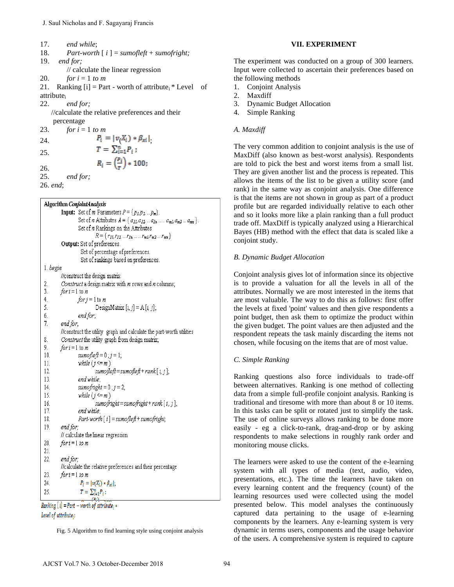17. *end while*; 18. *Part-worth*  $[i] = \textit{sumofleft} + \textit{sumofright};$ 19. *end for;*  // calculate the linear regression 20. *for i* = 1 *to m* 21. Ranking  $[i]$  = Part - worth of attribute<sub>i</sub> \* Level of attribute<sup>i</sup> 22. *end for;* //calculate the relative preferences and their percentage 23. *for i* = 1 *to m* 24.  $P_i = |v_i X_i| * \beta_{xi}|$ <br>
25  $T = \sum_{i=1}^{n} P_i$ ; 25.

26.

25. *end for;* 

26. *end*;

```
J. Saul Nicholas and F. Sagayaraj Francis<br>
2. \theta or which \epsilon:<br>
9. \theta or \theta or \theta is the linear regression<br>
9. \theta or \epsilon = 1 to m<br>
1.1. Ranking [i) = Part - worth of attribute, "Level of<br>
1.1. Ranking [ii) =
```
Fig. 5 Algorithm to find learning style using conjoint analysis

#### **VII. EXPERIMENT**

The experiment was conducted on a group of 300 learners*.* Input were collected to ascertain their preferences based on the following methods

- 1. Conjoint Analysis
- 2. Maxdiff
- 3. Dynamic Budget Allocation
- 4. Simple Ranking

# *A. Maxdiff*

The very common addition to conjoint analysis is the use of MaxDiff (also known as best-worst analysis). Respondents are told to pick the best and worst items from a small list. They are given another list and the process is repeated. This allows the items of the list to be given a utility score (and rank) in the same way as conjoint analysis. One difference is that the items are not shown in group as part of a product profile but are regarded individually relative to each other and so it looks more like a plain ranking than a full product trade off. MaxDiff is typically analyzed using a Hierarchical Bayes (HB) method with the effect that data is scaled like a conjoint study.

# *B. Dynamic Budget Allocation*

Conjoint analysis gives lot of information since its objective is to provide a valuation for all the levels in all of the attributes. Normally we are most interested in the items that are most valuable. The way to do this as follows: first offer the levels at fixed 'point' values and then give respondents a point budget, then ask them to optimize the product within the given budget. The point values are then adjusted and the respondent repeats the task mainly discarding the items not chosen, while focusing on the items that are of most value.

# *C. Simple Ranking*

Ranking questions also force individuals to trade-off between alternatives. Ranking is one method of collecting data from a simple full-profile conjoint analysis. Ranking is traditional and tiresome with more than about 8 or 10 items. In this tasks can be split or rotated just to simplify the task. The use of online surveys allows ranking to be done more easily - eg a click-to-rank, drag-and-drop or by asking respondents to make selections in roughly rank order and monitoring mouse clicks.

The learners were asked to use the content of the e-learning system with all types of media (text, audio, video, presentations, etc.). The time the learners have taken on every learning content and the frequency (count) of the learning resources used were collected using the model presented below. This model analyses the continuously captured data pertaining to the usage of e-learning components by the learners. Any e-learning system is very dynamic in terms users, components and the usage behavior of the users. A comprehensive system is required to capture